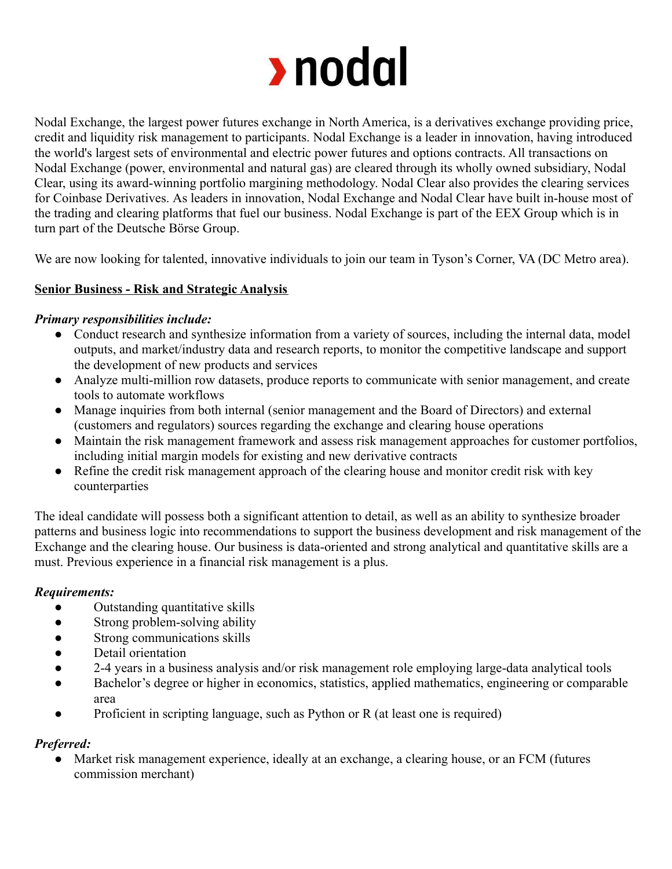

Nodal Exchange, the largest power futures exchange in North America, is a derivatives exchange providing price, credit and liquidity risk management to participants. Nodal Exchange is a leader in innovation, having introduced the world's largest sets of environmental and electric power futures and options contracts. All transactions on Nodal Exchange (power, environmental and natural gas) are cleared through its wholly owned subsidiary, Nodal Clear, using its award-winning portfolio margining methodology. Nodal Clear also provides the clearing services for Coinbase Derivatives. As leaders in innovation, Nodal Exchange and Nodal Clear have built in-house most of the trading and clearing platforms that fuel our business. Nodal Exchange is part of the EEX Group which is in turn part of the Deutsche Börse Group.

We are now looking for talented, innovative individuals to join our team in Tyson's Corner, VA (DC Metro area).

## **Senior Business - Risk and Strategic Analysis**

### *Primary responsibilities include:*

- Conduct research and synthesize information from a variety of sources, including the internal data, model outputs, and market/industry data and research reports, to monitor the competitive landscape and support the development of new products and services
- Analyze multi-million row datasets, produce reports to communicate with senior management, and create tools to automate workflows
- Manage inquiries from both internal (senior management and the Board of Directors) and external (customers and regulators) sources regarding the exchange and clearing house operations
- Maintain the risk management framework and assess risk management approaches for customer portfolios, including initial margin models for existing and new derivative contracts
- Refine the credit risk management approach of the clearing house and monitor credit risk with key counterparties

The ideal candidate will possess both a significant attention to detail, as well as an ability to synthesize broader patterns and business logic into recommendations to support the business development and risk management of the Exchange and the clearing house. Our business is data-oriented and strong analytical and quantitative skills are a must. Previous experience in a financial risk management is a plus.

### *Requirements:*

- Outstanding quantitative skills
- Strong problem-solving ability
- Strong communications skills
- Detail orientation
- 2-4 years in a business analysis and/or risk management role employing large-data analytical tools
- Bachelor's degree or higher in economics, statistics, applied mathematics, engineering or comparable area
- Proficient in scripting language, such as Python or  $R$  (at least one is required)

### *Preferred:*

• Market risk management experience, ideally at an exchange, a clearing house, or an FCM (futures commission merchant)